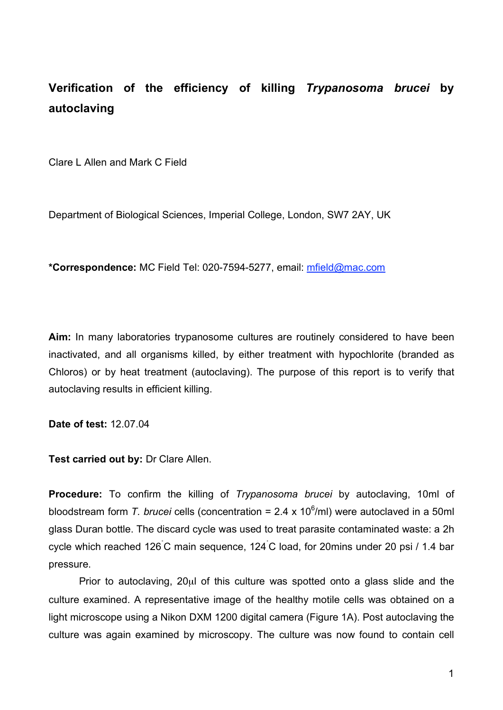## **Verification of the efficiency of killing** *Trypanosoma brucei* **by autoclaving**

Clare L Allen and Mark C Field

Department of Biological Sciences, Imperial College, London, SW7 2AY, UK

**\*Correspondence:** MC Field Tel: 020-7594-5277, email: mfield@mac.com

**Aim:** In many laboratories trypanosome cultures are routinely considered to have been inactivated, and all organisms killed, by either treatment with hypochlorite (branded as Chloros) or by heat treatment (autoclaving). The purpose of this report is to verify that autoclaving results in efficient killing.

**Date of test:** 12.07.04

**Test carried out by:** Dr Clare Allen.

**Procedure:** To confirm the killing of *Trypanosoma brucei* by autoclaving, 10ml of bloodstream form *T. brucei* cells (concentration = 2.4 x 10<sup>6</sup>/ml) were autoclaved in a 50ml glass Duran bottle. The discard cycle was used to treat parasite contaminated waste: a 2h cycle which reached 126˚ C main sequence, 124˚ C load, for 20mins under 20 psi / 1.4 bar pressure.

Prior to autoclaving, 20ul of this culture was spotted onto a glass slide and the culture examined. A representative image of the healthy motile cells was obtained on a light microscope using a Nikon DXM 1200 digital camera (Figure 1A). Post autoclaving the culture was again examined by microscopy. The culture was now found to contain cell